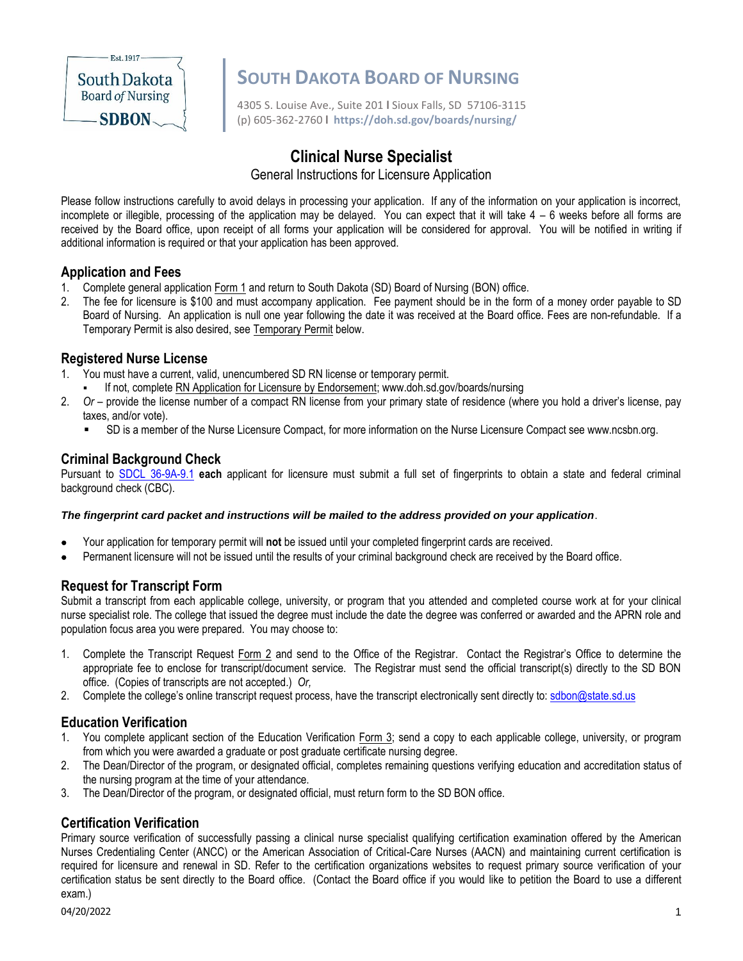

# **South Dakota SOUTH DAKOTA BOARD OF NURSING**<br>Board of Nursing

4305 S. Louise Ave., Suite 201 **l** Sioux Falls, SD 57106-3115 (p) 605-362-2760 **l https://doh.sd.gov/boards/nursing/**

## **Clinical Nurse Specialist**

General Instructions for Licensure Application

Please follow instructions carefully to avoid delays in processing your application. If any of the information on your application is incorrect, incomplete or illegible, processing of the application may be delayed. You can expect that it will take 4 – 6 weeks before all forms are received by the Board office, upon receipt of all forms your application will be considered for approval. You will be notified in writing if additional information is required or that your application has been approved.

#### **Application and Fees**

- 1. Complete general application Form 1 and return to South Dakota (SD) Board of Nursing (BON) office.
- 2. The fee for licensure is \$100 and must accompany application. Fee payment should be in the form of a money order payable to SD Board of Nursing. An application is null one year following the date it was received at the Board office. Fees are non-refundable. If a Temporary Permit is also desired, see Temporary Permit below.

#### **Registered Nurse License**

- 1. You must have a current, valid, unencumbered SD RN license or temporary permit.
	- If not, complete RN Application for Licensure by Endorsement; www.doh.sd.gov/boards/nursing
- 2. *Or* provide the license number of a compact RN license from your primary state of residence (where you hold a driver's license, pay taxes, and/or vote).
	- SD is a member of the Nurse Licensure Compact, for more information on the Nurse Licensure Compact see www.ncsbn.org.

#### **Criminal Background Check**

Pursuant to [SDCL 36-9A-9.1](https://sdlegislature.gov/Statutes/Codified_Laws/DisplayStatute.aspx?Type=Statute&Statute=36-9A-9.1) **each** applicant for licensure must submit a full set of fingerprints to obtain a state and federal criminal background check (CBC).

#### *The fingerprint card packet and instructions will be mailed to the address provided on your application*.

- Your application for temporary permit will **not** be issued until your completed fingerprint cards are received.
- Permanent licensure will not be issued until the results of your criminal background check are received by the Board office.

#### **Request for Transcript Form**

Submit a transcript from each applicable college, university, or program that you attended and completed course work at for your clinical nurse specialist role. The college that issued the degree must include the date the degree was conferred or awarded and the APRN role and population focus area you were prepared. You may choose to:

- 1. Complete the Transcript Request Form 2 and send to the Office of the Registrar. Contact the Registrar's Office to determine the appropriate fee to enclose for transcript/document service. The Registrar must send the official transcript(s) directly to the SD BON office. (Copies of transcripts are not accepted.) *Or,*
- 2. Complete the college's online transcript request process, have the transcript electronically sent directly to: sdbon@state.sd.us

#### **Education Verification**

- 1. You complete applicant section of the Education Verification Form 3; send a copy to each applicable college, university, or program from which you were awarded a graduate or post graduate certificate nursing degree.
- 2. The Dean/Director of the program, or designated official, completes remaining questions verifying education and accreditation status of the nursing program at the time of your attendance.
- 3. The Dean/Director of the program, or designated official, must return form to the SD BON office.

#### **Certification Verification**

Primary source verification of successfully passing a clinical nurse specialist qualifying certification examination offered by the American Nurses Credentialing Center (ANCC) or the American Association of Critical-Care Nurses (AACN) and maintaining current certification is required for licensure and renewal in SD. Refer to the certification organizations websites to request primary source verification of your certification status be sent directly to the Board office. (Contact the Board office if you would like to petition the Board to use a different exam.)

04/20/2022 1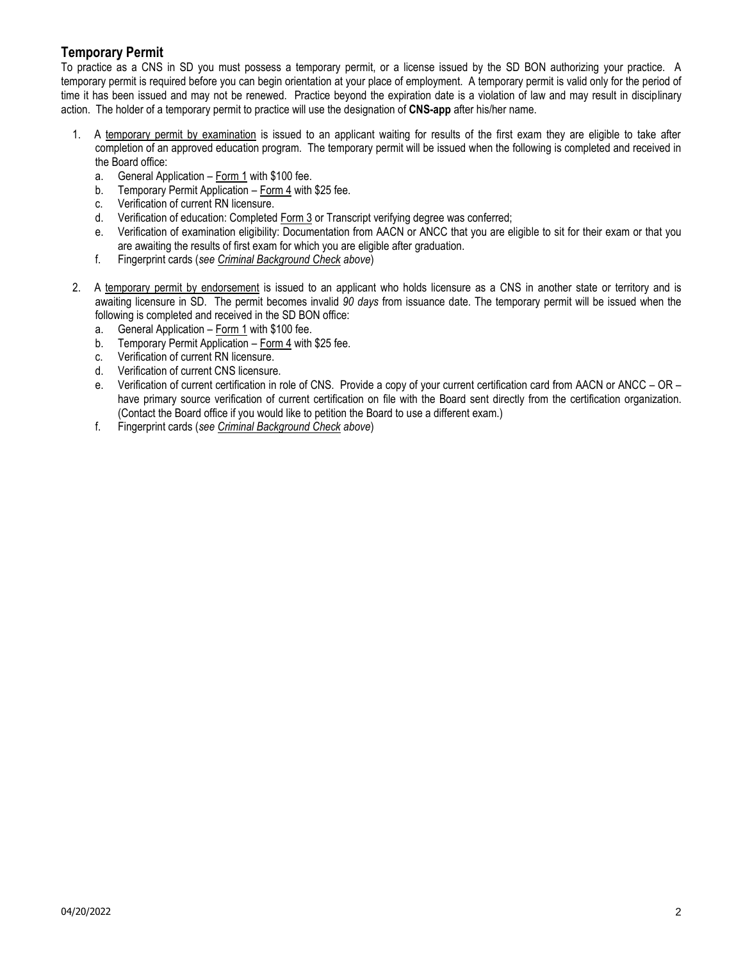#### **Temporary Permit**

To practice as a CNS in SD you must possess a temporary permit, or a license issued by the SD BON authorizing your practice. A temporary permit is required before you can begin orientation at your place of employment. A temporary permit is valid only for the period of time it has been issued and may not be renewed. Practice beyond the expiration date is a violation of law and may result in disciplinary action. The holder of a temporary permit to practice will use the designation of **CNS-app** after his/her name.

- 1. A temporary permit by examination is issued to an applicant waiting for results of the first exam they are eligible to take after completion of an approved education program. The temporary permit will be issued when the following is completed and received in the Board office:
	- a. General Application Form 1 with \$100 fee.
	- b. Temporary Permit Application Form 4 with \$25 fee.
	- c. Verification of current RN licensure.
	- d. Verification of education: Completed Form 3 or Transcript verifying degree was conferred;
	- e. Verification of examination eligibility: Documentation from AACN or ANCC that you are eligible to sit for their exam or that you are awaiting the results of first exam for which you are eligible after graduation.
	- f. Fingerprint cards (*see Criminal Background Check above*)
- 2. A temporary permit by endorsement is issued to an applicant who holds licensure as a CNS in another state or territory and is awaiting licensure in SD. The permit becomes invalid *90 days* from issuance date. The temporary permit will be issued when the following is completed and received in the SD BON office:
	- a. General Application Form 1 with \$100 fee.
	- b. Temporary Permit Application Form 4 with \$25 fee.
	- c. Verification of current RN licensure.
	- d. Verification of current CNS licensure.
	- e. Verification of current certification in role of CNS. Provide a copy of your current certification card from AACN or ANCC OR have primary source verification of current certification on file with the Board sent directly from the certification organization. (Contact the Board office if you would like to petition the Board to use a different exam.)
	- f. Fingerprint cards (*see Criminal Background Check above*)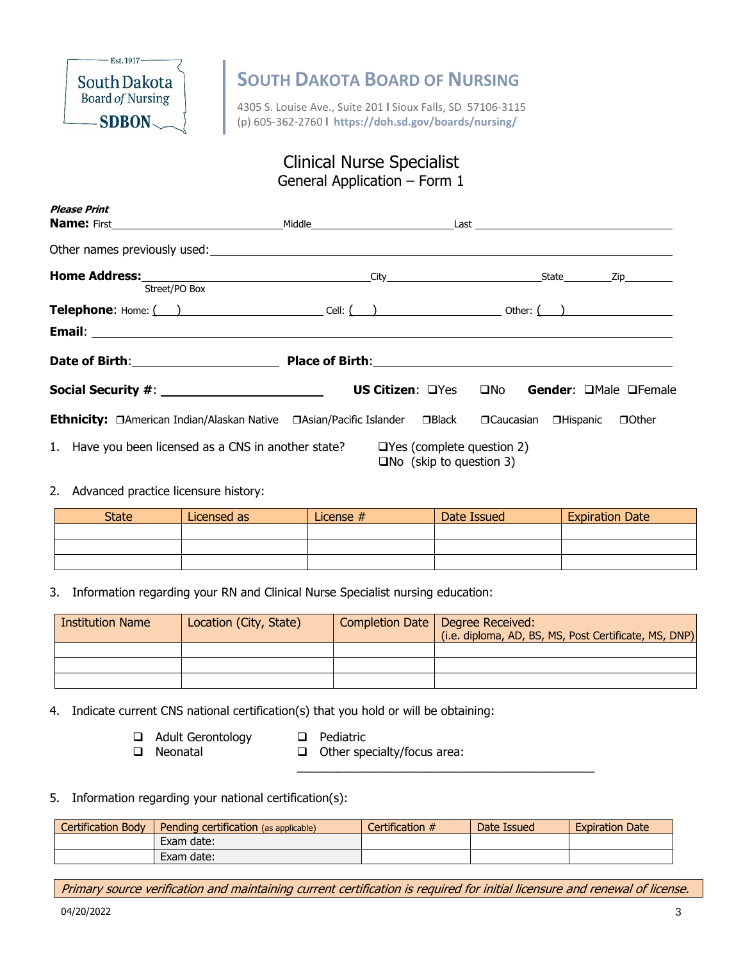

4305 S. Louise Ave., Suite 201 **l** Sioux Falls, SD 57106-3115 (p) 605-362-2760 **l https://doh.sd.gov/boards/nursing/**

### Clinical Nurse Specialist General Application – Form 1

| <b>Please Print</b>                                                                                                                                                               |  |                                            |  |                |
|-----------------------------------------------------------------------------------------------------------------------------------------------------------------------------------|--|--------------------------------------------|--|----------------|
|                                                                                                                                                                                   |  |                                            |  |                |
| Street/PO Box                                                                                                                                                                     |  |                                            |  |                |
| <b>Telephone:</b> Home: $\begin{pmatrix} 1 & 1 \\ 1 & 1 \end{pmatrix}$ Cell: $\begin{pmatrix} 1 & 1 \\ 1 & 1 \end{pmatrix}$ Other: $\begin{pmatrix} 1 & 1 \\ 1 & 1 \end{pmatrix}$ |  |                                            |  |                |
|                                                                                                                                                                                   |  |                                            |  |                |
|                                                                                                                                                                                   |  |                                            |  |                |
|                                                                                                                                                                                   |  | US Citizen: QYes QNo Gender: QMale QFemale |  |                |
| Ethnicity: □American Indian/Alaskan Native □Asian/Pacific Islander □Black □Caucasian □Hispanic                                                                                    |  |                                            |  | <b>O</b> Other |
| 1. Have you been licensed as a CNS in another state? $\Box$ Yes (complete question 2)                                                                                             |  | $\Box$ No (skip to question 3)             |  |                |

#### 2. Advanced practice licensure history:

| <b>State</b> | Licensed as | License # | Date Issued | <b>Expiration Date</b> |
|--------------|-------------|-----------|-------------|------------------------|
|              |             |           |             |                        |
|              |             |           |             |                        |
|              |             |           |             |                        |

3. Information regarding your RN and Clinical Nurse Specialist nursing education:

| <b>Institution Name</b> | Location (City, State) | Completion Date   Degree Received:<br>(i.e. diploma, AD, BS, MS, Post Certificate, MS, DNP) |
|-------------------------|------------------------|---------------------------------------------------------------------------------------------|
|                         |                        |                                                                                             |
|                         |                        |                                                                                             |
|                         |                        |                                                                                             |

4. Indicate current CNS national certification(s) that you hold or will be obtaining:

- ❑ Adult Gerontology ❑ Pediatric
	-

❑ Neonatal ❑ Other specialty/focus area:

\_\_\_\_\_\_\_\_\_\_\_\_\_\_\_\_\_\_\_\_\_\_\_\_\_\_\_\_\_\_\_\_\_\_\_\_\_\_\_\_\_\_\_\_\_

#### 5. Information regarding your national certification(s):

| <b>Certification Body</b> | Pending certification (as applicable) | Certification $#$ | Date Issued | <b>Expiration Date</b> |
|---------------------------|---------------------------------------|-------------------|-------------|------------------------|
|                           | Exam date:                            |                   |             |                        |
|                           | Exam date:                            |                   |             |                        |

Primary source verification and maintaining current certification is required for initial licensure and renewal of license.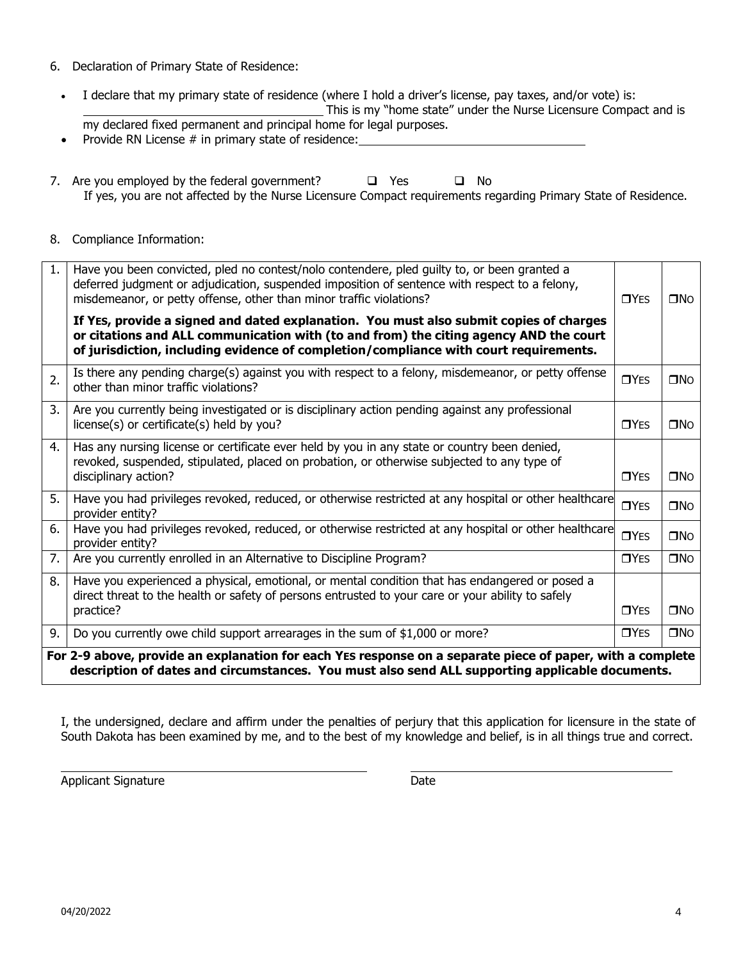- 6. Declaration of Primary State of Residence:
	- I declare that my primary state of residence (where I hold a driver's license, pay taxes, and/or vote) is: This is my "home state" under the Nurse Licensure Compact and is my declared fixed permanent and principal home for legal purposes.
	- Provide RN License # in primary state of residence:
- 7. Are you employed by the federal government? ❑ Yes ❑ No If yes, you are not affected by the Nurse Licensure Compact requirements regarding Primary State of Residence.
- 8. Compliance Information:

| 1. | Have you been convicted, pled no contest/nolo contendere, pled guilty to, or been granted a<br>deferred judgment or adjudication, suspended imposition of sentence with respect to a felony,<br>misdemeanor, or petty offense, other than minor traffic violations?      | $\n  TYES\n$     | $\square$ No |  |  |  |
|----|--------------------------------------------------------------------------------------------------------------------------------------------------------------------------------------------------------------------------------------------------------------------------|------------------|--------------|--|--|--|
|    | If YES, provide a signed and dated explanation. You must also submit copies of charges<br>or citations and ALL communication with (to and from) the citing agency AND the court<br>of jurisdiction, including evidence of completion/compliance with court requirements. |                  |              |  |  |  |
| 2. | Is there any pending charge(s) against you with respect to a felony, misdemeanor, or petty offense<br>other than minor traffic violations?                                                                                                                               | $\n  TYES\n$     | $\square$ No |  |  |  |
| 3. | Are you currently being investigated or is disciplinary action pending against any professional<br>license(s) or certificate(s) held by you?                                                                                                                             | $\Box$ YES       | $\square$ No |  |  |  |
| 4. | Has any nursing license or certificate ever held by you in any state or country been denied,<br>revoked, suspended, stipulated, placed on probation, or otherwise subjected to any type of                                                                               |                  |              |  |  |  |
|    | disciplinary action?                                                                                                                                                                                                                                                     | $\Box$ YES       | $\square$ No |  |  |  |
| 5. | Have you had privileges revoked, reduced, or otherwise restricted at any hospital or other healthcare<br>provider entity?                                                                                                                                                | T <sub>YES</sub> | $\square$ No |  |  |  |
| 6. | Have you had privileges revoked, reduced, or otherwise restricted at any hospital or other healthcare<br>provider entity?                                                                                                                                                | $\n  TYES\n$     | $\square$ No |  |  |  |
| 7. | Are you currently enrolled in an Alternative to Discipline Program?                                                                                                                                                                                                      | $\n  TYES\n$     | $\square$ No |  |  |  |
| 8. | Have you experienced a physical, emotional, or mental condition that has endangered or posed a<br>direct threat to the health or safety of persons entrusted to your care or your ability to safely                                                                      |                  |              |  |  |  |
|    | practice?                                                                                                                                                                                                                                                                | $\Box$ YES       | $\square$ No |  |  |  |
| 9. | Do you currently owe child support arrearages in the sum of \$1,000 or more?                                                                                                                                                                                             | <b>OYES</b>      | $\square$ No |  |  |  |
|    | For 2-9 above, provide an explanation for each YES response on a separate piece of paper, with a complete<br>description of dates and circumstances. You must also send ALL supporting applicable documents.                                                             |                  |              |  |  |  |

I, the undersigned, declare and affirm under the penalties of perjury that this application for licensure in the state of South Dakota has been examined by me, and to the best of my knowledge and belief, is in all things true and correct.

Applicant Signature **Date** Date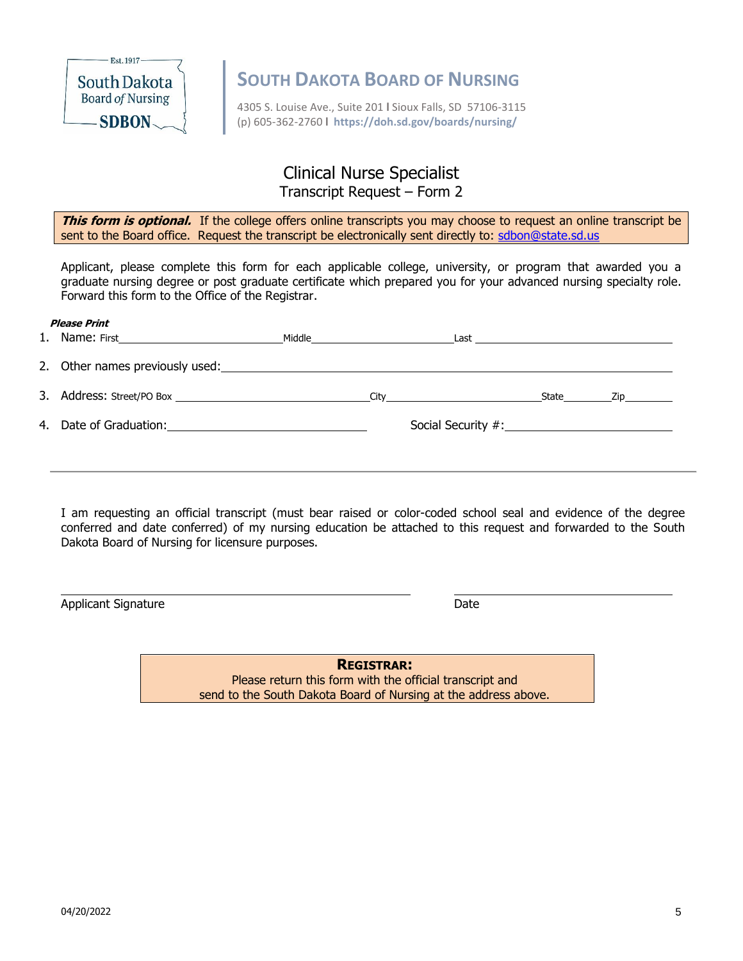

4305 S. Louise Ave., Suite 201 **l** Sioux Falls, SD 57106-3115 (p) 605-362-2760 **l https://doh.sd.gov/boards/nursing/**

### Clinical Nurse Specialist Transcript Request – Form 2

**This form is optional.** If the college offers online transcripts you may choose to request an online transcript be sent to the Board office. Request the transcript be electronically sent directly to: sdbon@state.sd.us

Applicant, please complete this form for each applicable college, university, or program that awarded you a graduate nursing degree or post graduate certificate which prepared you for your advanced nursing specialty role. Forward this form to the Office of the Registrar.

## **Please Print** 1. Name: First **Middle** Middle **Middle Communist Class** Last 2. Other names previously used: 3. Address: Street/PO Box City State Zip 4. Date of Graduation:  $\overline{\phantom{a}}$  Social Security #:

I am requesting an official transcript (must bear raised or color-coded school seal and evidence of the degree conferred and date conferred) of my nursing education be attached to this request and forwarded to the South Dakota Board of Nursing for licensure purposes.

Applicant Signature Date Date

**REGISTRAR:** Please return this form with the official transcript and send to the South Dakota Board of Nursing at the address above.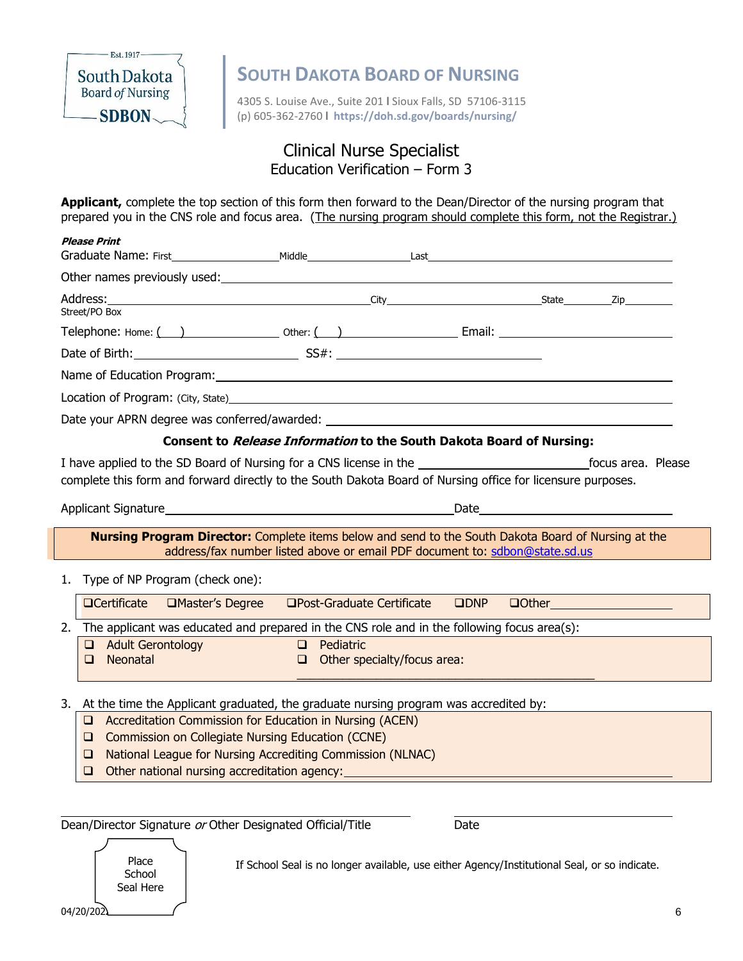

4305 S. Louise Ave., Suite 201 **l** Sioux Falls, SD 57106-3115 (p) 605-362-2760 **l https://doh.sd.gov/boards/nursing/**

### Clinical Nurse Specialist Education Verification – Form 3

**Applicant,** complete the top section of this form then forward to the Dean/Director of the nursing program that prepared you in the CNS role and focus area. (The nursing program should complete this form, not the Registrar.)

|    | <b>Please Print</b><br>Graduate Name: First <b>Example 2018</b> Middle Manual Last Last                                                                                                                                                                                                                                       |  |
|----|-------------------------------------------------------------------------------------------------------------------------------------------------------------------------------------------------------------------------------------------------------------------------------------------------------------------------------|--|
|    |                                                                                                                                                                                                                                                                                                                               |  |
|    | Address: <u>2ip Zip Zip and City City State</u><br>Street/PO Box                                                                                                                                                                                                                                                              |  |
|    |                                                                                                                                                                                                                                                                                                                               |  |
|    |                                                                                                                                                                                                                                                                                                                               |  |
|    |                                                                                                                                                                                                                                                                                                                               |  |
|    |                                                                                                                                                                                                                                                                                                                               |  |
|    |                                                                                                                                                                                                                                                                                                                               |  |
|    | Consent to <i>Release Information</i> to the South Dakota Board of Nursing:                                                                                                                                                                                                                                                   |  |
|    | complete this form and forward directly to the South Dakota Board of Nursing office for licensure purposes.                                                                                                                                                                                                                   |  |
|    | Date <u>______________________</u><br>Applicant Signature Management Control of the September 2014                                                                                                                                                                                                                            |  |
|    | <b>Nursing Program Director:</b> Complete items below and send to the South Dakota Board of Nursing at the<br>address/fax number listed above or email PDF document to: sdbon@state.sd.us                                                                                                                                     |  |
|    | 1. Type of NP Program (check one):                                                                                                                                                                                                                                                                                            |  |
|    | $\Box$ Certificate<br>□Master's Degree<br>$\Box$ Post-Graduate Certificate $\Box$ DNP<br><b>Question of the Contract of the Contract of the Contract of the Contract of the Contract of the Contract of the Contract of the Contract of the Contract of the Contract of the Contract of the Contract of the Contract of t</b> |  |
|    | 2. The applicant was educated and prepared in the CNS role and in the following focus area(s):                                                                                                                                                                                                                                |  |
|    | Adult Gerontology<br>Pediatric<br>$\Box$<br>Neonatal<br>Other specialty/focus area:<br>$\Box$<br>$\Box$                                                                                                                                                                                                                       |  |
| 3. | At the time the Applicant graduated, the graduate nursing program was accredited by:                                                                                                                                                                                                                                          |  |
|    | Accreditation Commission for Education in Nursing (ACEN)<br><b>Commission on Collegiate Nursing Education (CCNE)</b><br>$\Box$                                                                                                                                                                                                |  |
|    | National League for Nursing Accrediting Commission (NLNAC)<br>□                                                                                                                                                                                                                                                               |  |
|    | Other national nursing accreditation agency: ___________________________________<br>$\Box$                                                                                                                                                                                                                                    |  |
|    |                                                                                                                                                                                                                                                                                                                               |  |
|    | Dean/Director Signature or Other Designated Official/Title<br>Date                                                                                                                                                                                                                                                            |  |

Place Intertational Seal is no longer available, use either Agency/Institutional Seal, or so indicate.